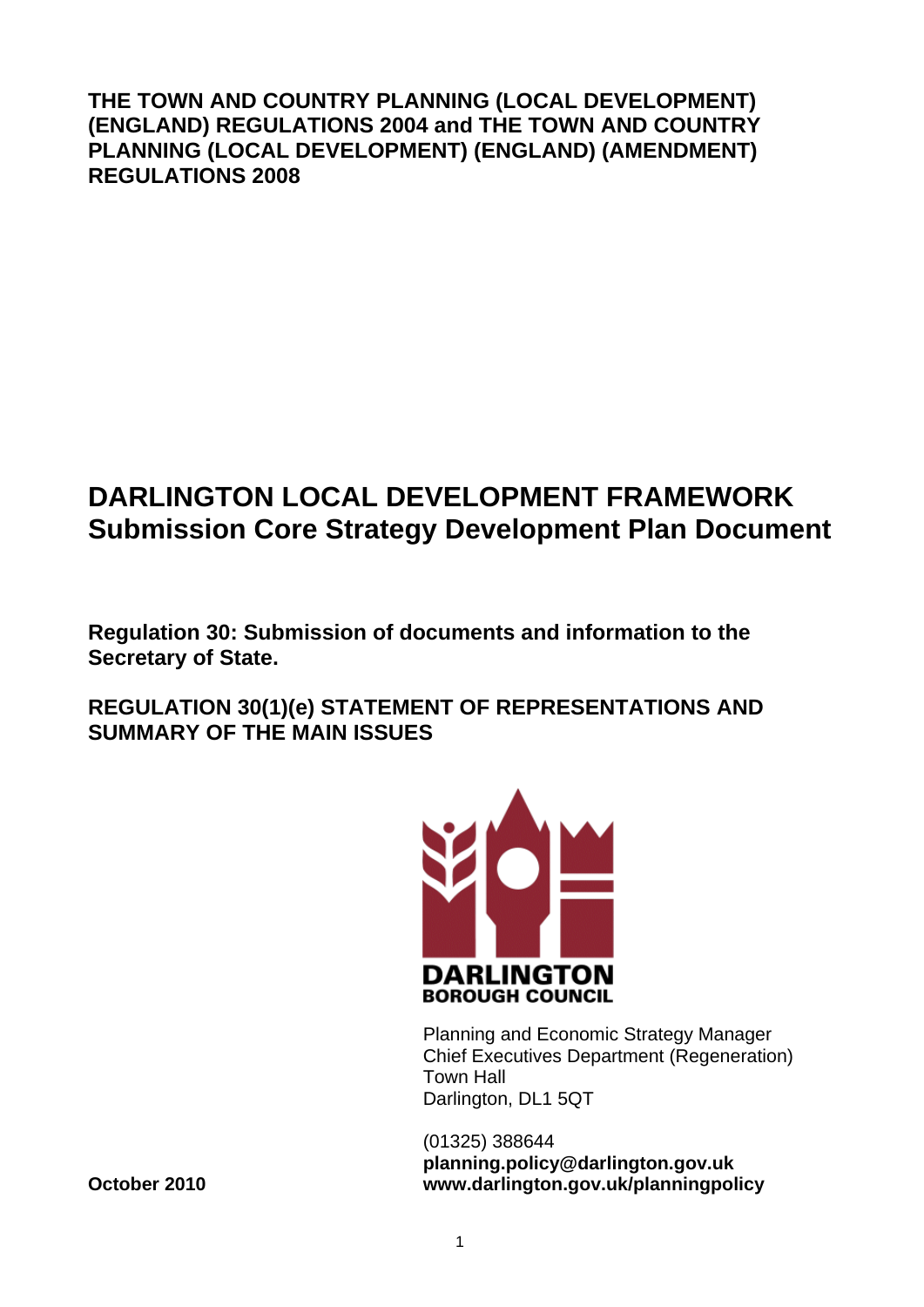**THE TOWN AND COUNTRY PLANNING (LOCAL DEVELOPMENT) (ENGLAND) REGULATIONS 2004 and THE TOWN AND COUNTRY PLANNING (LOCAL DEVELOPMENT) (ENGLAND) (AMENDMENT) REGULATIONS 2008** 

# **DARLINGTON LOCAL DEVELOPMENT FRAMEWORK Submission Core Strategy Development Plan Document**

**Regulation 30: Submission of documents and information to the Secretary of State.** 

**REGULATION 30(1)(e) STATEMENT OF REPRESENTATIONS AND SUMMARY OF THE MAIN ISSUES** 



Planning and Economic Strategy Manager Chief Executives Department (Regeneration) Town Hall Darlington, DL1 5QT

(01325) 388644 **planning.policy@darlington.gov.uk October 2010 www.darlington.gov.uk/planningpolicy**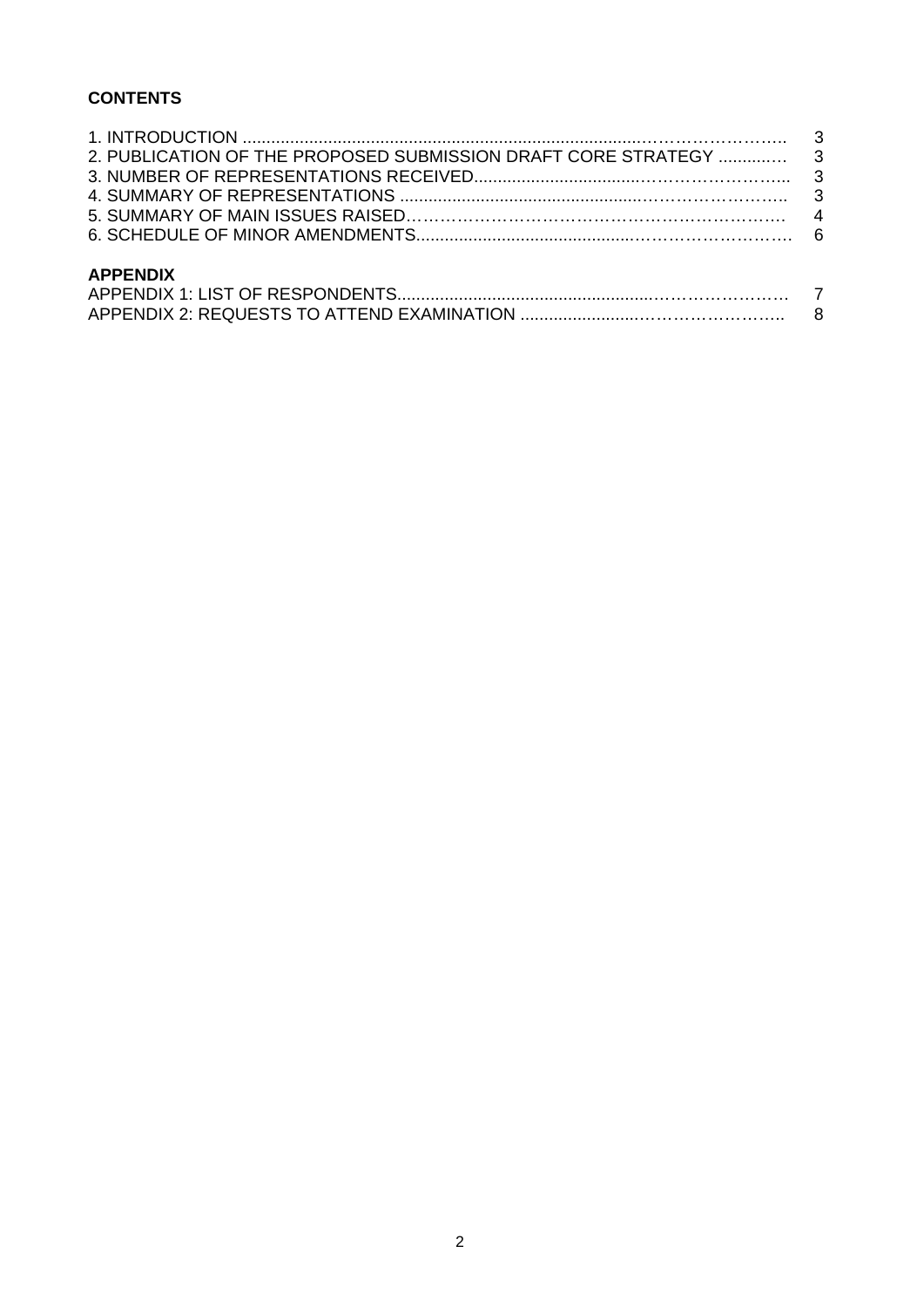## **CONTENTS**

| <b>APPENDIX</b> |  |
|-----------------|--|
|                 |  |
|                 |  |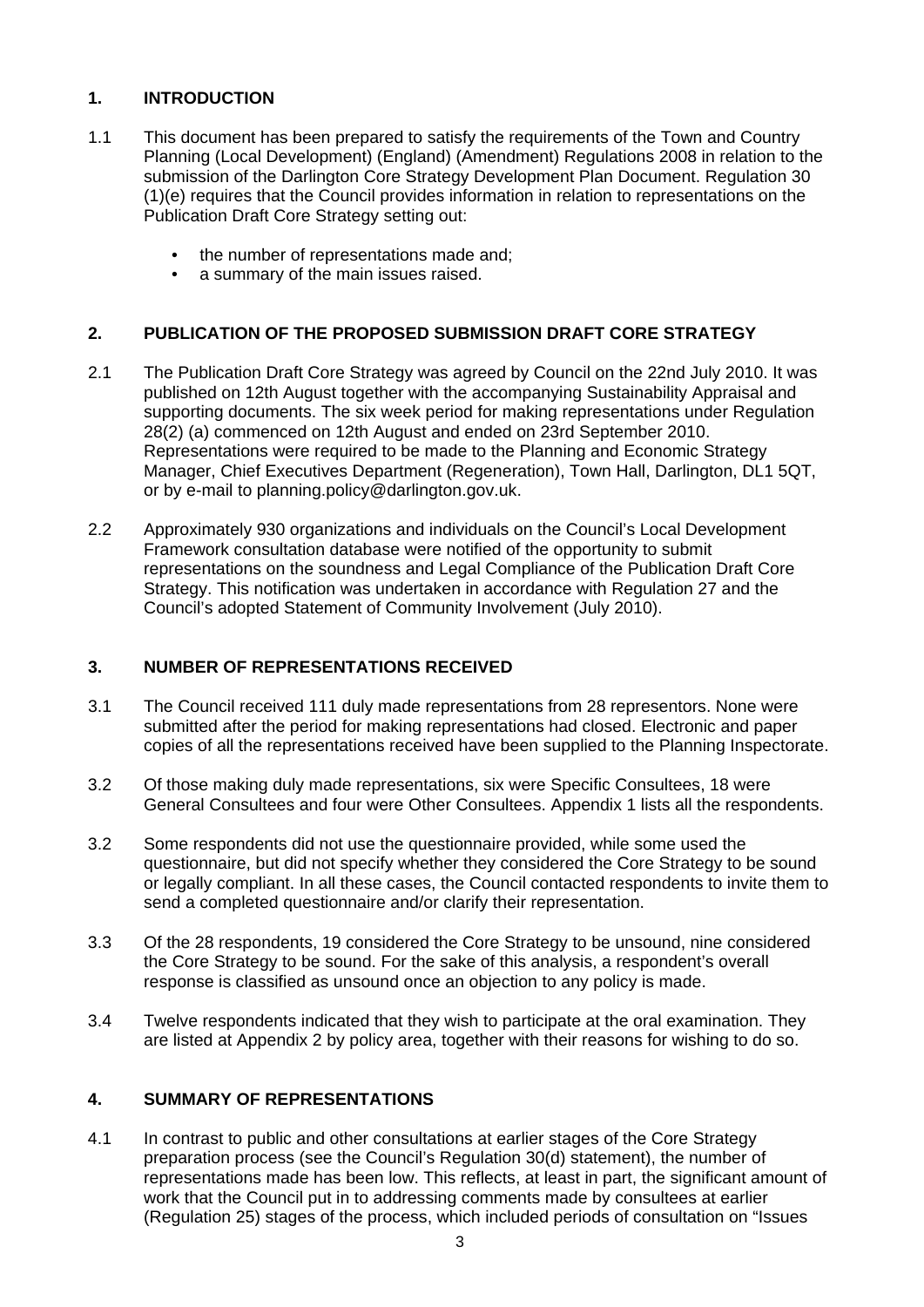### **1. INTRODUCTION**

- 1.1 This document has been prepared to satisfy the requirements of the Town and Country Planning (Local Development) (England) (Amendment) Regulations 2008 in relation to the submission of the Darlington Core Strategy Development Plan Document. Regulation 30 (1)(e) requires that the Council provides information in relation to representations on the Publication Draft Core Strategy setting out:
	- the number of representations made and;
	- a summary of the main issues raised.

#### **2. PUBLICATION OF THE PROPOSED SUBMISSION DRAFT CORE STRATEGY**

- 2.1 The Publication Draft Core Strategy was agreed by Council on the 22nd July 2010. It was published on 12th August together with the accompanying Sustainability Appraisal and supporting documents. The six week period for making representations under Regulation 28(2) (a) commenced on 12th August and ended on 23rd September 2010. Representations were required to be made to the Planning and Economic Strategy Manager, Chief Executives Department (Regeneration), Town Hall, Darlington, DL1 5QT, or by e-mail to planning.policy@darlington.gov.uk.
- 2.2 Approximately 930 organizations and individuals on the Council's Local Development Framework consultation database were notified of the opportunity to submit representations on the soundness and Legal Compliance of the Publication Draft Core Strategy. This notification was undertaken in accordance with Regulation 27 and the Council's adopted Statement of Community Involvement (July 2010).

#### **3. NUMBER OF REPRESENTATIONS RECEIVED**

- 3.1 The Council received 111 duly made representations from 28 representors. None were submitted after the period for making representations had closed. Electronic and paper copies of all the representations received have been supplied to the Planning Inspectorate.
- 3.2 Of those making duly made representations, six were Specific Consultees, 18 were General Consultees and four were Other Consultees. Appendix 1 lists all the respondents.
- 3.2 Some respondents did not use the questionnaire provided, while some used the questionnaire, but did not specify whether they considered the Core Strategy to be sound or legally compliant. In all these cases, the Council contacted respondents to invite them to send a completed questionnaire and/or clarify their representation.
- 3.3 Of the 28 respondents, 19 considered the Core Strategy to be unsound, nine considered the Core Strategy to be sound. For the sake of this analysis, a respondent's overall response is classified as unsound once an objection to any policy is made.
- 3.4 Twelve respondents indicated that they wish to participate at the oral examination. They are listed at Appendix 2 by policy area, together with their reasons for wishing to do so.

#### **4. SUMMARY OF REPRESENTATIONS**

4.1 In contrast to public and other consultations at earlier stages of the Core Strategy preparation process (see the Council's Regulation 30(d) statement), the number of representations made has been low. This reflects, at least in part, the significant amount of work that the Council put in to addressing comments made by consultees at earlier (Regulation 25) stages of the process, which included periods of consultation on "Issues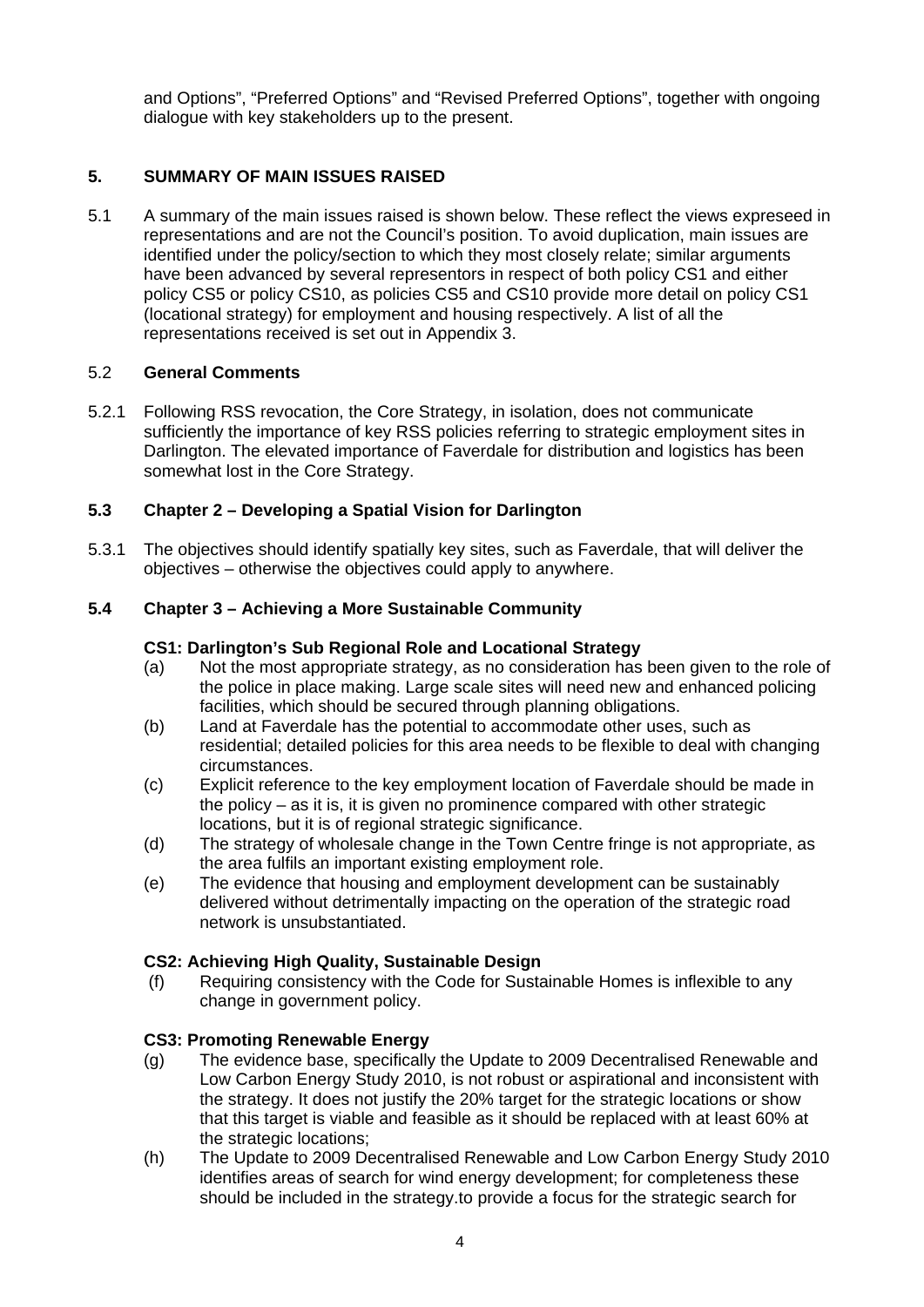and Options", "Preferred Options" and "Revised Preferred Options", together with ongoing dialogue with key stakeholders up to the present.

#### **5. SUMMARY OF MAIN ISSUES RAISED**

5.1 A summary of the main issues raised is shown below. These reflect the views expreseed in representations and are not the Council's position. To avoid duplication, main issues are identified under the policy/section to which they most closely relate; similar arguments have been advanced by several representors in respect of both policy CS1 and either policy CS5 or policy CS10, as policies CS5 and CS10 provide more detail on policy CS1 (locational strategy) for employment and housing respectively. A list of all the representations received is set out in Appendix 3.

#### 5.2 **General Comments**

5.2.1 Following RSS revocation, the Core Strategy, in isolation, does not communicate sufficiently the importance of key RSS policies referring to strategic employment sites in Darlington. The elevated importance of Faverdale for distribution and logistics has been somewhat lost in the Core Strategy.

#### **5.3 Chapter 2 – Developing a Spatial Vision for Darlington**

5.3.1 The objectives should identify spatially key sites, such as Faverdale, that will deliver the objectives – otherwise the objectives could apply to anywhere.

#### **5.4 Chapter 3 – Achieving a More Sustainable Community**

#### **CS1: Darlington's Sub Regional Role and Locational Strategy**

- (a) Not the most appropriate strategy, as no consideration has been given to the role of the police in place making. Large scale sites will need new and enhanced policing facilities, which should be secured through planning obligations.
- (b) Land at Faverdale has the potential to accommodate other uses, such as residential; detailed policies for this area needs to be flexible to deal with changing circumstances.
- (c) Explicit reference to the key employment location of Faverdale should be made in the policy – as it is, it is given no prominence compared with other strategic locations, but it is of regional strategic significance.
- (d) The strategy of wholesale change in the Town Centre fringe is not appropriate, as the area fulfils an important existing employment role.
- (e) The evidence that housing and employment development can be sustainably delivered without detrimentally impacting on the operation of the strategic road network is unsubstantiated.

#### **CS2: Achieving High Quality, Sustainable Design**

 (f) Requiring consistency with the Code for Sustainable Homes is inflexible to any change in government policy.

#### **CS3: Promoting Renewable Energy**

- (g) The evidence base, specifically the Update to 2009 Decentralised Renewable and Low Carbon Energy Study 2010, is not robust or aspirational and inconsistent with the strategy. It does not justify the 20% target for the strategic locations or show that this target is viable and feasible as it should be replaced with at least 60% at the strategic locations;
- (h) The Update to 2009 Decentralised Renewable and Low Carbon Energy Study 2010 identifies areas of search for wind energy development; for completeness these should be included in the strategy.to provide a focus for the strategic search for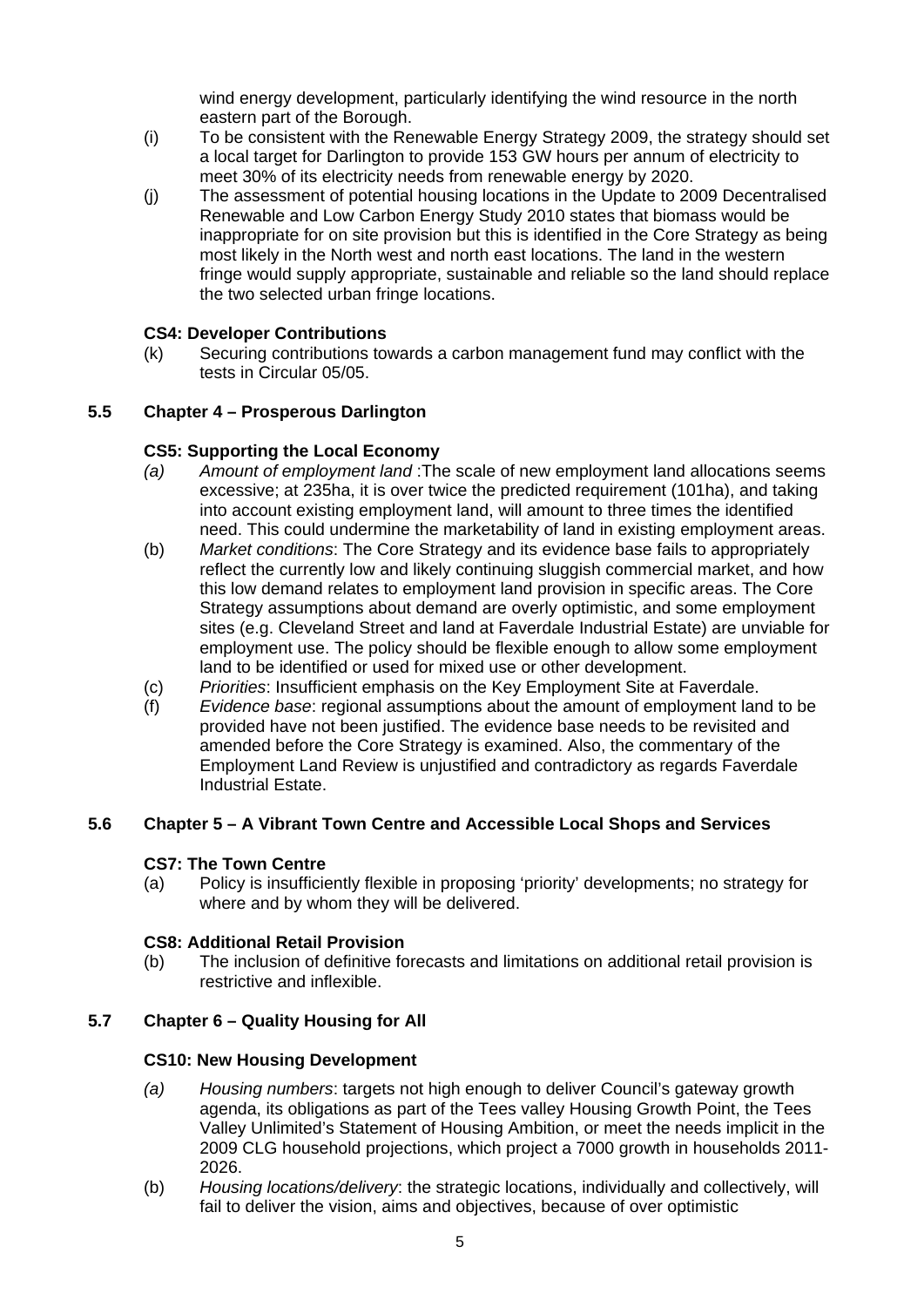wind energy development, particularly identifying the wind resource in the north eastern part of the Borough.

- (i) To be consistent with the Renewable Energy Strategy 2009, the strategy should set a local target for Darlington to provide 153 GW hours per annum of electricity to meet 30% of its electricity needs from renewable energy by 2020.
- (j) The assessment of potential housing locations in the Update to 2009 Decentralised Renewable and Low Carbon Energy Study 2010 states that biomass would be inappropriate for on site provision but this is identified in the Core Strategy as being most likely in the North west and north east locations. The land in the western fringe would supply appropriate, sustainable and reliable so the land should replace the two selected urban fringe locations.

#### **CS4: Developer Contributions**

(k) Securing contributions towards a carbon management fund may conflict with the tests in Circular 05/05.

#### **5.5 Chapter 4 – Prosperous Darlington**

#### **CS5: Supporting the Local Economy**

- *(a) Amount of employment land* :The scale of new employment land allocations seems excessive; at 235ha, it is over twice the predicted requirement (101ha), and taking into account existing employment land, will amount to three times the identified need. This could undermine the marketability of land in existing employment areas.
- (b) *Market conditions*: The Core Strategy and its evidence base fails to appropriately reflect the currently low and likely continuing sluggish commercial market, and how this low demand relates to employment land provision in specific areas. The Core Strategy assumptions about demand are overly optimistic, and some employment sites (e.g. Cleveland Street and land at Faverdale Industrial Estate) are unviable for employment use. The policy should be flexible enough to allow some employment land to be identified or used for mixed use or other development.
- (c) *Priorities*: Insufficient emphasis on the Key Employment Site at Faverdale.
- (f) *Evidence base*: regional assumptions about the amount of employment land to be provided have not been justified. The evidence base needs to be revisited and amended before the Core Strategy is examined. Also, the commentary of the Employment Land Review is unjustified and contradictory as regards Faverdale Industrial Estate.

#### **5.6 Chapter 5 – A Vibrant Town Centre and Accessible Local Shops and Services**

#### **CS7: The Town Centre**

(a) Policy is insufficiently flexible in proposing 'priority' developments; no strategy for where and by whom they will be delivered.

#### **CS8: Additional Retail Provision**

(b) The inclusion of definitive forecasts and limitations on additional retail provision is restrictive and inflexible.

#### **5.7 Chapter 6 – Quality Housing for All**

#### **CS10: New Housing Development**

- *(a) Housing numbers*: targets not high enough to deliver Council's gateway growth agenda, its obligations as part of the Tees valley Housing Growth Point, the Tees Valley Unlimited's Statement of Housing Ambition, or meet the needs implicit in the 2009 CLG household projections, which project a 7000 growth in households 2011- 2026.
- (b) *Housing locations/delivery*: the strategic locations, individually and collectively, will fail to deliver the vision, aims and objectives, because of over optimistic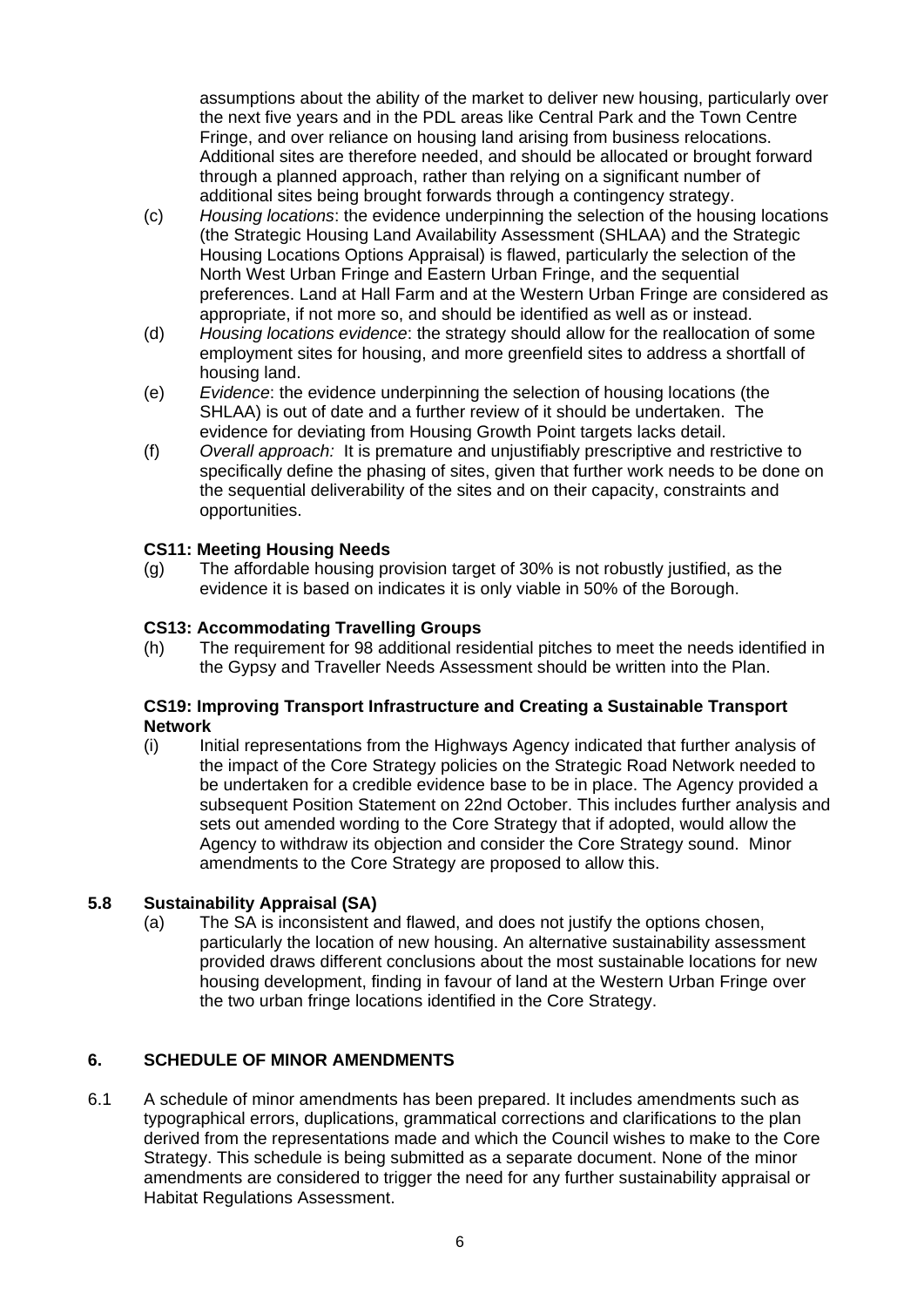assumptions about the ability of the market to deliver new housing, particularly over the next five years and in the PDL areas like Central Park and the Town Centre Fringe, and over reliance on housing land arising from business relocations. Additional sites are therefore needed, and should be allocated or brought forward through a planned approach, rather than relying on a significant number of additional sites being brought forwards through a contingency strategy.

- (c) *Housing locations*: the evidence underpinning the selection of the housing locations (the Strategic Housing Land Availability Assessment (SHLAA) and the Strategic Housing Locations Options Appraisal) is flawed, particularly the selection of the North West Urban Fringe and Eastern Urban Fringe, and the sequential preferences. Land at Hall Farm and at the Western Urban Fringe are considered as appropriate, if not more so, and should be identified as well as or instead.
- (d) *Housing locations evidence*: the strategy should allow for the reallocation of some employment sites for housing, and more greenfield sites to address a shortfall of housing land.
- (e) *Evidence*: the evidence underpinning the selection of housing locations (the SHLAA) is out of date and a further review of it should be undertaken. The evidence for deviating from Housing Growth Point targets lacks detail.
- (f) *Overall approach:* It is premature and unjustifiably prescriptive and restrictive to specifically define the phasing of sites, given that further work needs to be done on the sequential deliverability of the sites and on their capacity, constraints and opportunities.

#### **CS11: Meeting Housing Needs**

(g) The affordable housing provision target of 30% is not robustly justified, as the evidence it is based on indicates it is only viable in 50% of the Borough.

### **CS13: Accommodating Travelling Groups**

(h) The requirement for 98 additional residential pitches to meet the needs identified in the Gypsy and Traveller Needs Assessment should be written into the Plan.

#### **CS19: Improving Transport Infrastructure and Creating a Sustainable Transport Network**

(i) Initial representations from the Highways Agency indicated that further analysis of the impact of the Core Strategy policies on the Strategic Road Network needed to be undertaken for a credible evidence base to be in place. The Agency provided a subsequent Position Statement on 22nd October. This includes further analysis and sets out amended wording to the Core Strategy that if adopted, would allow the Agency to withdraw its objection and consider the Core Strategy sound. Minor amendments to the Core Strategy are proposed to allow this.

#### **5.8 Sustainability Appraisal (SA)**

(a) The SA is inconsistent and flawed, and does not justify the options chosen, particularly the location of new housing. An alternative sustainability assessment provided draws different conclusions about the most sustainable locations for new housing development, finding in favour of land at the Western Urban Fringe over the two urban fringe locations identified in the Core Strategy.

### **6. SCHEDULE OF MINOR AMENDMENTS**

6.1 A schedule of minor amendments has been prepared. It includes amendments such as typographical errors, duplications, grammatical corrections and clarifications to the plan derived from the representations made and which the Council wishes to make to the Core Strategy. This schedule is being submitted as a separate document. None of the minor amendments are considered to trigger the need for any further sustainability appraisal or Habitat Regulations Assessment.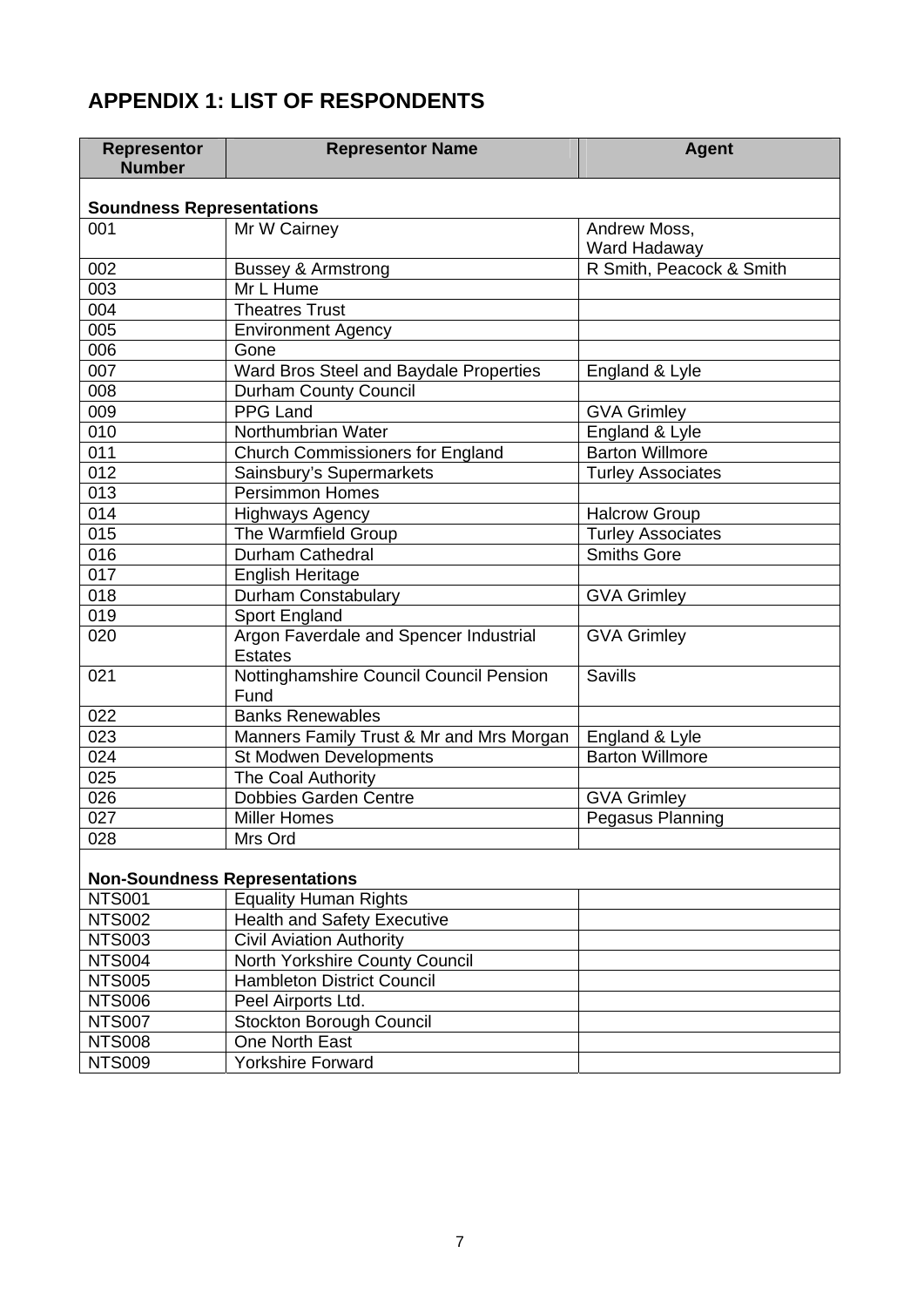# **APPENDIX 1: LIST OF RESPONDENTS**

NTS007 | Stockton Borough Council

NTS008 | One North East NTS009 Yorkshire Forward

| <b>Representor</b><br><b>Number</b>  | <b>Representor Name</b>                                                        | <b>Agent</b>                 |  |  |  |
|--------------------------------------|--------------------------------------------------------------------------------|------------------------------|--|--|--|
| <b>Soundness Representations</b>     |                                                                                |                              |  |  |  |
| 001                                  | Mr W Cairney                                                                   | Andrew Moss,<br>Ward Hadaway |  |  |  |
| 002                                  | <b>Bussey &amp; Armstrong</b>                                                  | R Smith, Peacock & Smith     |  |  |  |
| 003                                  | Mr L Hume                                                                      |                              |  |  |  |
| 004                                  | <b>Theatres Trust</b>                                                          |                              |  |  |  |
| 005                                  | <b>Environment Agency</b>                                                      |                              |  |  |  |
| 006                                  | Gone                                                                           |                              |  |  |  |
| 007                                  | Ward Bros Steel and Baydale Properties                                         | England & Lyle               |  |  |  |
| 008                                  | <b>Durham County Council</b>                                                   |                              |  |  |  |
| 009                                  | <b>PPG Land</b>                                                                | <b>GVA Grimley</b>           |  |  |  |
| 010                                  | Northumbrian Water                                                             | England & Lyle               |  |  |  |
| 011                                  | <b>Church Commissioners for England</b>                                        | <b>Barton Willmore</b>       |  |  |  |
| 012                                  | Sainsbury's Supermarkets                                                       | <b>Turley Associates</b>     |  |  |  |
| 013                                  | <b>Persimmon Homes</b>                                                         |                              |  |  |  |
| 014                                  | <b>Highways Agency</b>                                                         | <b>Halcrow Group</b>         |  |  |  |
| 015                                  | The Warmfield Group                                                            | <b>Turley Associates</b>     |  |  |  |
| 016                                  | Durham Cathedral                                                               | <b>Smiths Gore</b>           |  |  |  |
| 017                                  | <b>English Heritage</b>                                                        |                              |  |  |  |
| 018                                  | Durham Constabulary                                                            | <b>GVA Grimley</b>           |  |  |  |
| 019                                  | Sport England                                                                  |                              |  |  |  |
| 020                                  | Argon Faverdale and Spencer Industrial<br><b>GVA Grimley</b><br><b>Estates</b> |                              |  |  |  |
| 021                                  | Nottinghamshire Council Council Pension<br><b>Savills</b><br>Fund              |                              |  |  |  |
| 022                                  | <b>Banks Renewables</b>                                                        |                              |  |  |  |
| 023                                  | Manners Family Trust & Mr and Mrs Morgan                                       | England & Lyle               |  |  |  |
| 024                                  | St Modwen Developments                                                         | <b>Barton Willmore</b>       |  |  |  |
| 025                                  | The Coal Authority                                                             |                              |  |  |  |
| 026                                  | <b>Dobbies Garden Centre</b>                                                   | <b>GVA Grimley</b>           |  |  |  |
| 027                                  | Pegasus Planning<br><b>Miller Homes</b>                                        |                              |  |  |  |
| 028                                  | Mrs Ord                                                                        |                              |  |  |  |
| <b>Non-Soundness Representations</b> |                                                                                |                              |  |  |  |
| <b>NTS001</b>                        | <b>Equality Human Rights</b>                                                   |                              |  |  |  |
| <b>NTS002</b>                        | <b>Health and Safety Executive</b>                                             |                              |  |  |  |
| <b>NTS003</b>                        | <b>Civil Aviation Authority</b>                                                |                              |  |  |  |
| <b>NTS004</b>                        | North Yorkshire County Council                                                 |                              |  |  |  |
| <b>NTS005</b>                        | <b>Hambleton District Council</b>                                              |                              |  |  |  |
| <b>NTS006</b>                        | Peel Airports Ltd.                                                             |                              |  |  |  |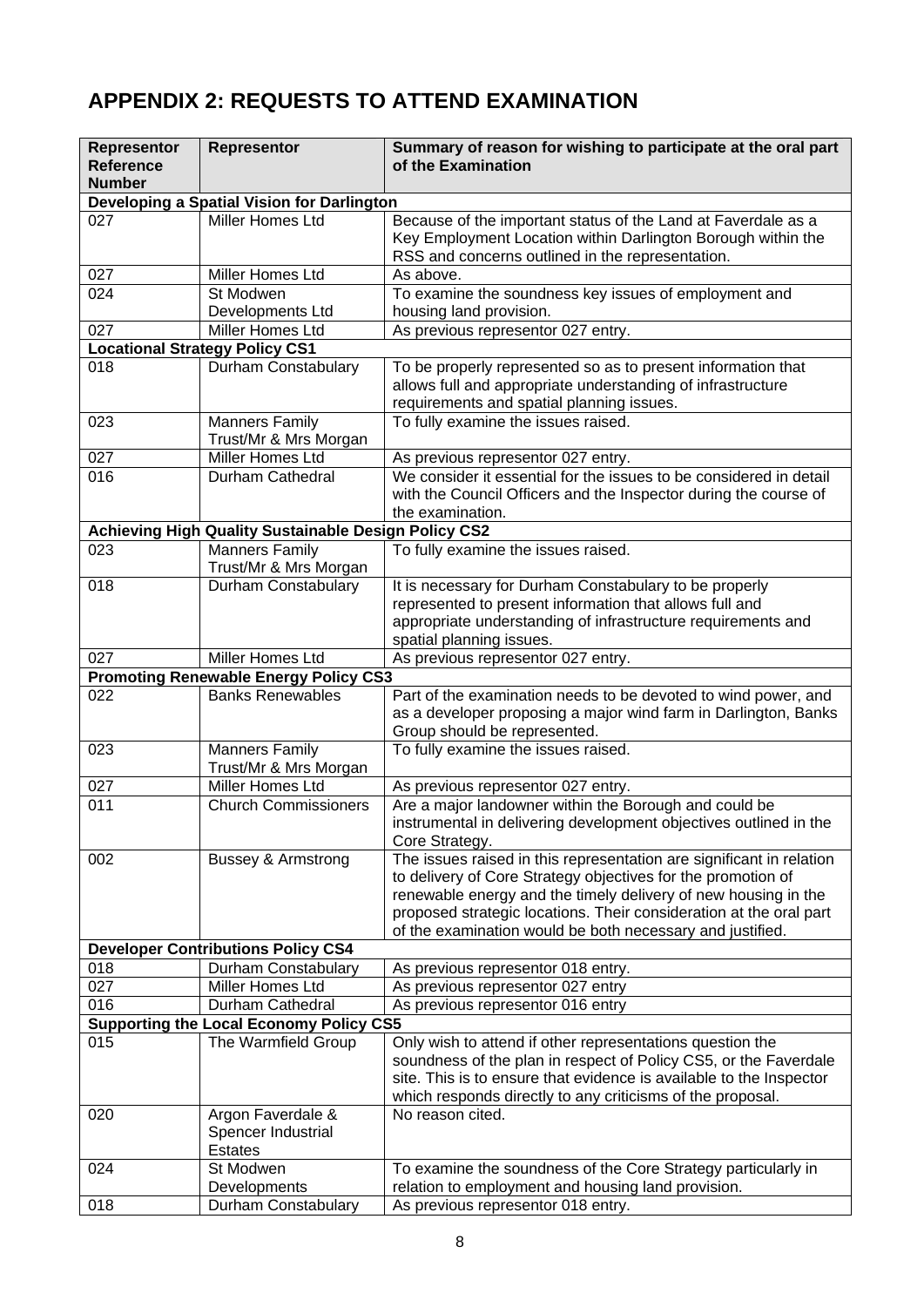# **APPENDIX 2: REQUESTS TO ATTEND EXAMINATION**

| <b>Representor</b> | Representor                                                             | Summary of reason for wishing to participate at the oral part                        |
|--------------------|-------------------------------------------------------------------------|--------------------------------------------------------------------------------------|
| <b>Reference</b>   |                                                                         | of the Examination                                                                   |
| <b>Number</b>      | Developing a Spatial Vision for Darlington                              |                                                                                      |
| 027                | Miller Homes Ltd                                                        | Because of the important status of the Land at Faverdale as a                        |
|                    |                                                                         | Key Employment Location within Darlington Borough within the                         |
|                    |                                                                         | RSS and concerns outlined in the representation.                                     |
| 027                | Miller Homes Ltd                                                        | As above.                                                                            |
| 024                | St Modwen                                                               | To examine the soundness key issues of employment and                                |
|                    | Developments Ltd<br><b>Miller Homes Ltd</b>                             | housing land provision.                                                              |
| 027                | <b>Locational Strategy Policy CS1</b>                                   | As previous representor 027 entry.                                                   |
| 018                | Durham Constabulary                                                     | To be properly represented so as to present information that                         |
|                    |                                                                         | allows full and appropriate understanding of infrastructure                          |
|                    |                                                                         | requirements and spatial planning issues.                                            |
| 023                | <b>Manners Family</b>                                                   | To fully examine the issues raised.                                                  |
|                    | Trust/Mr & Mrs Morgan                                                   |                                                                                      |
| 027                | Miller Homes Ltd                                                        | As previous representor 027 entry.                                                   |
| 016                | Durham Cathedral                                                        | We consider it essential for the issues to be considered in detail                   |
|                    |                                                                         | with the Council Officers and the Inspector during the course of<br>the examination. |
|                    | Achieving High Quality Sustainable Design Policy CS2                    |                                                                                      |
| 023                | <b>Manners Family</b>                                                   | To fully examine the issues raised.                                                  |
|                    | Trust/Mr & Mrs Morgan                                                   |                                                                                      |
| 018                | Durham Constabulary                                                     | It is necessary for Durham Constabulary to be properly                               |
|                    |                                                                         | represented to present information that allows full and                              |
|                    |                                                                         | appropriate understanding of infrastructure requirements and                         |
|                    |                                                                         | spatial planning issues.                                                             |
| 027                | Miller Homes Ltd                                                        | As previous representor 027 entry.                                                   |
| 022                | <b>Promoting Renewable Energy Policy CS3</b><br><b>Banks Renewables</b> | Part of the examination needs to be devoted to wind power, and                       |
|                    |                                                                         | as a developer proposing a major wind farm in Darlington, Banks                      |
|                    |                                                                         | Group should be represented.                                                         |
| 023                | <b>Manners Family</b>                                                   | To fully examine the issues raised.                                                  |
|                    | Trust/Mr & Mrs Morgan                                                   |                                                                                      |
| 027                | Miller Homes Ltd                                                        | As previous representor 027 entry.                                                   |
| 011                | <b>Church Commissioners</b>                                             | Are a major landowner within the Borough and could be                                |
|                    |                                                                         | instrumental in delivering development objectives outlined in the<br>Core Strategy.  |
| 002                | <b>Bussey &amp; Armstrong</b>                                           | The issues raised in this representation are significant in relation                 |
|                    |                                                                         | to delivery of Core Strategy objectives for the promotion of                         |
|                    |                                                                         | renewable energy and the timely delivery of new housing in the                       |
|                    |                                                                         | proposed strategic locations. Their consideration at the oral part                   |
|                    |                                                                         | of the examination would be both necessary and justified.                            |
|                    | <b>Developer Contributions Policy CS4</b>                               |                                                                                      |
| 018                | Durham Constabulary                                                     | As previous representor 018 entry.                                                   |
| 027<br>016         | Miller Homes Ltd<br>Durham Cathedral                                    | As previous representor 027 entry<br>As previous representor 016 entry               |
|                    | <b>Supporting the Local Economy Policy CS5</b>                          |                                                                                      |
| 015                | The Warmfield Group                                                     | Only wish to attend if other representations question the                            |
|                    |                                                                         | soundness of the plan in respect of Policy CS5, or the Faverdale                     |
|                    |                                                                         | site. This is to ensure that evidence is available to the Inspector                  |
|                    |                                                                         | which responds directly to any criticisms of the proposal.                           |
| 020                | Argon Faverdale &                                                       | No reason cited.                                                                     |
|                    | Spencer Industrial                                                      |                                                                                      |
| 024                | <b>Estates</b><br>St Modwen                                             | To examine the soundness of the Core Strategy particularly in                        |
|                    | Developments                                                            | relation to employment and housing land provision.                                   |
| 018                | Durham Constabulary                                                     | As previous representor 018 entry.                                                   |